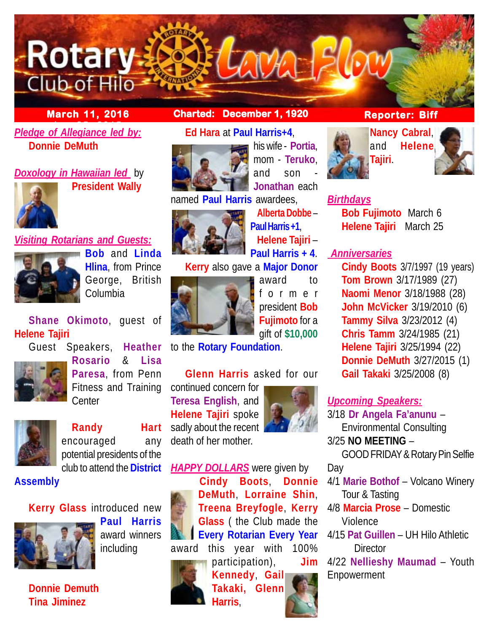## **March 11, 2016 Charted: December 1, 1920**

## **Pledge of Allegiance led by: Donnie DeMuth**

**Rotary** 

Club-of Hilo

*Doxology in Hawaiian led* by **President Wally**



# *Visiting Rotarians and Guests:*



**Bob** and **Linda Hlina**, from Prince George, British Columbia

**Shane Okimoto**, guest of **Helene Tajiri**

Guest Speakers, **Heather**



**Rosario** & **Lisa Paresa**, from Penn Fitness and Training **Center** 



**Randy Hart** encouraged any potential presidents of the club to attend the **District**

**Assembly**

## **Kerry Glass** introduced new



**Paul Harris** award winners including

**Donnie Demuth Tina Jiminez**

# **Ed Hara** at **Paul Harris+4**,



his wife - **Portia**, mom - **Teruko**, and  $son$ **Jonathan** each

named **Paul Harris** awardees,



**Alberta Dobbe** – **Paul Harris +1**, **Helene Tajiri** – **Paul Harris + 4**. **Kerry** also gave a **Major Donor**



award to former president **Bob Fujimoto** for a gift of **\$10,000**

to the **Rotary Foundation**.

## **Glenn Harris** asked for our

continued concern for **Teresa English**, and **Helene Tajiri** spoke sadly about the recent death of her mother.



*HAPPY DOLLARS* were given by **Cindy Boots**, **Donnie DeMuth**, **Lorraine Shin**, **Treena Breyfogle**, **Kerry Glass** ( the Club made the **Every Rotarian Every Year** award this year with 100%



participation), **Jim Kennedy**, **Gail Takaki, Glenn Harris**,

## **Reporter: Biff**



**AMA-Blow** 





## *Birthdays*

**Bob Fujimoto** March 6 **Helene Tajiri** March 25

## *Anniversaries*

**Cindy Boots** 3/7/1997 (19 years) **Tom Brown** 3/17/1989 (27) **Naomi Menor** 3/18/1988 (28) **John McVicker** 3/19/2010 (6) **Tammy Silva** 3/23/2012 (4) **Chris Tamm** 3/24/1985 (21) **Helene Tajiri** 3/25/1994 (22) **Donnie DeMuth** 3/27/2015 (1) **Gail Takaki** 3/25/2008 (8)

## *Upcoming Speakers:*

3/18 **Dr Angela Fa'anunu** – Environmental Consulting 3/25 **NO MEETING** –

GOOD FRIDAY & Rotary Pin Selfie Day

4/1 **Marie Bothof** – Volcano Winery Tour & Tasting

4/8 **Marcia Prose** – Domestic Violence

4/15 **Pat Guillen** – UH Hilo Athletic **Director** 

4/22 **Nellieshy Maumad** – Youth Enpowerment

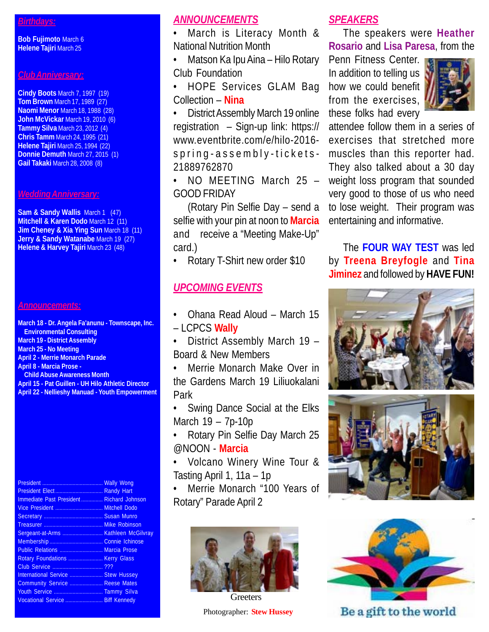#### *Birthdays:*

**Bob Fujimoto** March 6 **Helene Tajiri** March 25

#### *Club Anniversary:*

**Cindy Boots** March 7, 1997 (19) **Tom Brown** March 17, 1989 (27) **Naomi Menor** March 18, 1988 (28) **John McVickar** March 19, 2010 (6) **Tammy Silva** March 23, 2012 (4) **Chris Tamm** March 24, 1995 (21) **Helene Tajiri** March 25, 1994 (22) **Donnie Demuth** March 27, 2015 (1) **Gail Takaki** March 28, 2008 (8)

#### *Wedding Anniversary:*

**Sam & Sandy Wallis March 1 (47) Mitchell & Karen Dodo** March 12 (11) **Jim Cheney & Xia Ying Sun** March 18 (11) **Jerry & Sandy Watanabe** March 19 (27) **Helene & Harvey Tajiri** March 23 (48)

#### *Announcements:*

**March 18 - Dr. Angela Fa'anunu - Townscape, Inc. Environmental Consulting March 19 - District Assembly March 25 - No Meeting April 2 - Merrie Monarch Parade April 8 - Marcia Prose - Child Abuse Awareness Month April 15 - Pat Guillen - UH Hilo Athletic Director April 22 - Nellieshy Manuad - Youth Empowerment**

President .......................................... Wally Wong President Elect ................................. Randy Hart Immediate Past President ............... Richard Johnson Vice President ................................. Mitchell Dodo Secretary ......................................... Susan Munro Treasurer ......................................... Mike Robinson Sergeant-at-Arms ............................. Kathleen McGilvray Membership ..................................... Connie Ichinose Public Relations .............................. Marcia Prose Rotary Foundations ........................... Kerry Glass Club Service ................................... ??? International Service ....................... Stew Hussey Community Service ....................... Reese Mates Youth Service .................................. Tammy Silva Vocational Service .......................... Biff Kennedy

#### *ANNOUNCEMENTS*

• March is Literacy Month & National Nutrition Month

• Matson Ka Ipu Aina – Hilo Rotary Club Foundation

• HOPE Services GLAM Bag Collection – **Nina**

• District Assembly March 19 online registration – Sign-up link: https:// www.eventbrite.com/e/hilo-2016 spring-assembly-tickets-21889762870

• NO MEETING March 25 – GOOD FRIDAY

(Rotary Pin Selfie Day – send a selfie with your pin at noon to **Marcia** and receive a "Meeting Make-Up" card.)

• Rotary T-Shirt new order \$10

### *UPCOMING EVENTS*

• Ohana Read Aloud – March 15 – LCPCS **Wally**

• District Assembly March 19 – Board & New Members

• Merrie Monarch Make Over in the Gardens March 19 Liliuokalani Park

Swing Dance Social at the Elks March 19 – 7p-10p

• Rotary Pin Selfie Day March 25 @NOON - **Marcia**

• Volcano Winery Wine Tour & Tasting April 1, 11a – 1p

Merrie Monarch "100 Years of Rotary" Parade April 2



Photographer: **Stew Hussey Greeters** 

### *SPEAKERS*

The speakers were **Heather Rosario** and **Lisa Paresa**, from the

Penn Fitness Center. In addition to telling us how we could benefit from the exercises, these folks had every



attendee follow them in a series of exercises that stretched more muscles than this reporter had. They also talked about a 30 day weight loss program that sounded very good to those of us who need to lose weight. Their program was entertaining and informative.

The **FOUR WAY TEST** was led by **Treena Breyfogle** and **Tina Jiminez** and followed by **HAVE FUN!**







Be a gift to the world